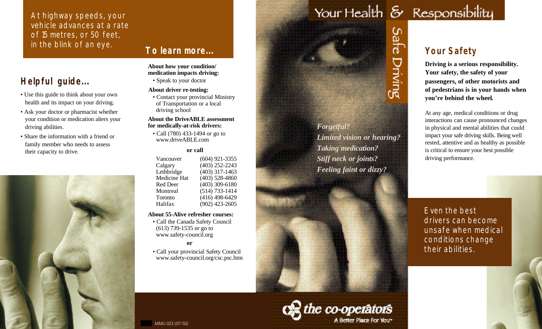At highway speeds, your vehicle advances at a rate of 15 metres, or 50 feet,<br>in the blink of an eye.

## **To learn more...**

# **Helpful guide...**

- Use this guide to think about your own health and its impact on your driving.
- Ask your doctor or pharmacist whether your condition or medication alters your driving abilities.
- Share the information with a friend or family member who needs to assess their capacity to drive.



# **About how your condition/**

**medication impacts driving:** • Speak to your doctor

### **About driver re-testing:**

• Contact your provincial Ministry of Transportation or a local driving school

### **About the DriveABLE assessment for medically-at-risk drivers:**

• Call (780) 433-1494 or go to www.driveABLE.com

### **or call**

| Vancouver    | $(604)$ 921-3355   |
|--------------|--------------------|
| Calgary      | $(403)$ 252-2243   |
| Lethbridge   | $(403)$ 317-1463   |
| Medicine Hat | $(403)$ 528-4860   |
| Red Deer     | $(403)$ 309-6180   |
| Montreal     | $(514) 733 - 1414$ |
| Toronto      | $(416)$ 498-6429   |
| Halifax      | $(902)$ 423-2605   |
|              |                    |

### **About 55-Alive refresher courses:**

• Call the Canada Safety Council (613) 739-1535 or go to www.safety-council.org

**or** 

• Call your provincial Safety Council www.safety-council.org/csc.psc.htm

# Your Health & Responsibility

Safe

Driving

# **Your Safety**

**Driving is a serious responsibility. Your safety, the safety of your passengers, of other motorists and of pedestrians is in your hands when you're behind the wheel.**

At any age, medical conditions or drug interactions can cause pronounced changes in physical and mental abilities that could impact your safe driving skills. Being well rested, attentive and as healthy as possible is critical to ensure your best possible driving performance.

Even the best drivers can become unsafe when medical conditions change their abilities.



*Forgetful?*

*Limited vision or hearing?*

*Taking medication? Stiff neck or joints?*

*Feeling faint or dizzy?*